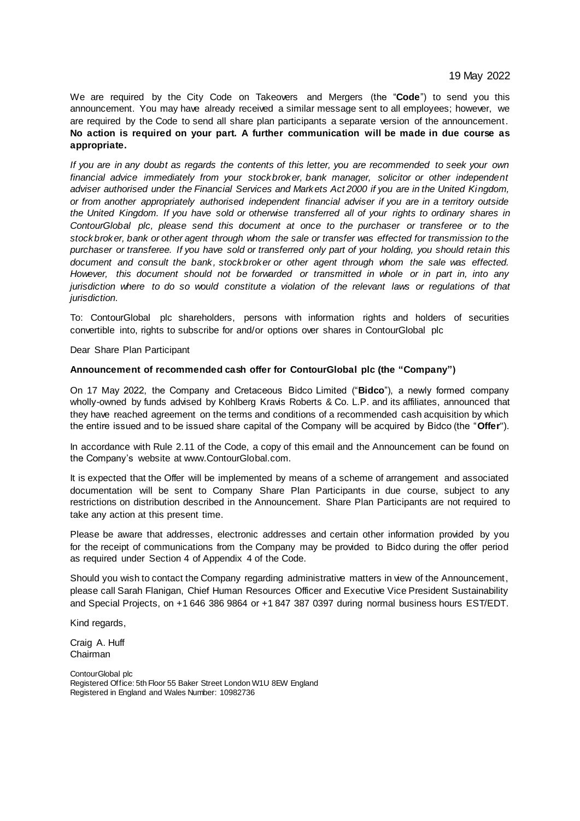We are required by the City Code on Takeovers and Mergers (the "**Code**") to send you this announcement. You may have already received a similar message sent to all employees; however, we are required by the Code to send all share plan participants a separate version of the announcement. **No action is required on your part. A further communication will be made in due course as appropriate.**

*If you are in any doubt as regards the contents of this letter, you are recommended to seek your own financial advice immediately from your stockbroker, bank manager, solicitor or other independent adviser authorised under the Financial Services and Markets Act 2000 if you are in the United Kingdom, or from another appropriately authorised independent financial adviser if you are in a territory outside the United Kingdom. If you have sold or otherwise transferred all of your rights to ordinary shares in ContourGlobal plc, please send this document at once to the purchaser or transferee or to the stockbroker, bank or other agent through whom the sale or transfer was effected for transmission to the purchaser or transferee. If you have sold or transferred only part of your holding, you should retain this document and consult the bank, stockbroker or other agent through whom the sale was effected. However, this document should not be forwarded or transmitted in whole or in part in, into any jurisdiction where to do so would constitute a violation of the relevant laws or regulations of that jurisdiction.*

To: ContourGlobal plc shareholders, persons with information rights and holders of securities convertible into, rights to subscribe for and/or options over shares in ContourGlobal plc

Dear Share Plan Participant

### **Announcement of recommended cash offer for ContourGlobal plc (the "Company")**

On 17 May 2022, the Company and Cretaceous Bidco Limited ("**Bidco**"), a newly formed company wholly-owned by funds advised by Kohlberg Kravis Roberts & Co. L.P. and its affiliates, announced that they have reached agreement on the terms and conditions of a recommended cash acquisition by which the entire issued and to be issued share capital of the Company will be acquired by Bidco (the "**Offer**").

In accordance with Rule 2.11 of the Code, a copy of this email and the Announcement can be found on the Company's website at www.ContourGlobal.com.

It is expected that the Offer will be implemented by means of a scheme of arrangement and associated documentation will be sent to Company Share Plan Participants in due course, subject to any restrictions on distribution described in the Announcement. Share Plan Participants are not required to take any action at this present time.

Please be aware that addresses, electronic addresses and certain other information provided by you for the receipt of communications from the Company may be provided to Bidco during the offer period as required under Section 4 of Appendix 4 of the Code.

Should you wish to contact the Company regarding administrative matters in view of the Announcement, please call Sarah Flanigan, Chief Human Resources Officer and Executive Vice President Sustainability and Special Projects, on +1 646 386 9864 or +1 847 387 0397 during normal business hours EST/EDT.

Kind regards,

Craig A. Huff Chairman

ContourGlobal plc Registered Office: 5th Floor 55 Baker Street London W1U 8EW England Registered in England and Wales Number: 10982736